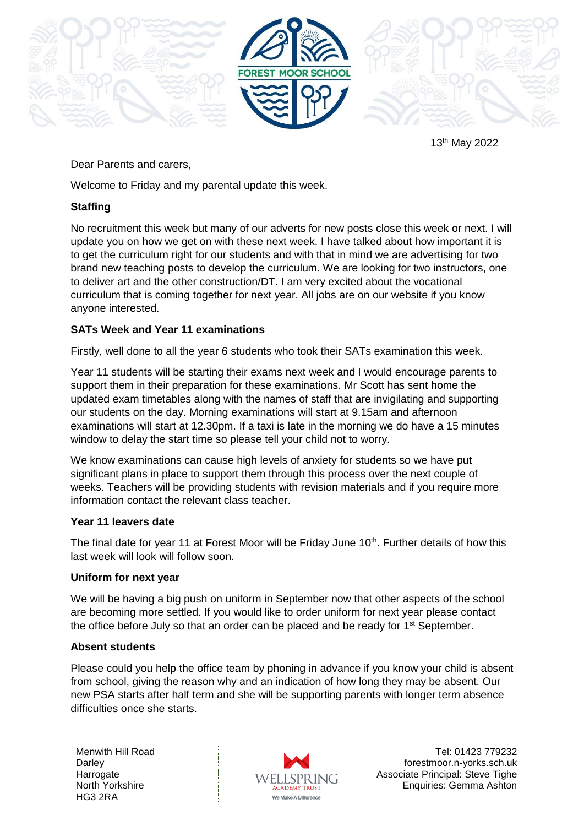

13th May 2022

# Dear Parents and carers,

Welcome to Friday and my parental update this week.

### **Staffing**

No recruitment this week but many of our adverts for new posts close this week or next. I will update you on how we get on with these next week. I have talked about how important it is to get the curriculum right for our students and with that in mind we are advertising for two brand new teaching posts to develop the curriculum. We are looking for two instructors, one to deliver art and the other construction/DT. I am very excited about the vocational curriculum that is coming together for next year. All jobs are on our website if you know anyone interested.

# **SATs Week and Year 11 examinations**

Firstly, well done to all the year 6 students who took their SATs examination this week.

Year 11 students will be starting their exams next week and I would encourage parents to support them in their preparation for these examinations. Mr Scott has sent home the updated exam timetables along with the names of staff that are invigilating and supporting our students on the day. Morning examinations will start at 9.15am and afternoon examinations will start at 12.30pm. If a taxi is late in the morning we do have a 15 minutes window to delay the start time so please tell your child not to worry.

We know examinations can cause high levels of anxiety for students so we have put significant plans in place to support them through this process over the next couple of weeks. Teachers will be providing students with revision materials and if you require more information contact the relevant class teacher.

### **Year 11 leavers date**

The final date for year 11 at Forest Moor will be Friday June 10<sup>th</sup>. Further details of how this last week will look will follow soon.

### **Uniform for next year**

We will be having a big push on uniform in September now that other aspects of the school are becoming more settled. If you would like to order uniform for next year please contact the office before July so that an order can be placed and be ready for  $1<sup>st</sup>$  September.

### **Absent students**

Please could you help the office team by phoning in advance if you know your child is absent from school, giving the reason why and an indication of how long they may be absent. Our new PSA starts after half term and she will be supporting parents with longer term absence difficulties once she starts.

Menwith Hill Road **Darley Harrogate** North Yorkshire HG3 2RA



Tel: 01423 779232 forestmoor.n-yorks.sch.uk Associate Principal: Steve Tighe Enquiries: Gemma Ashton